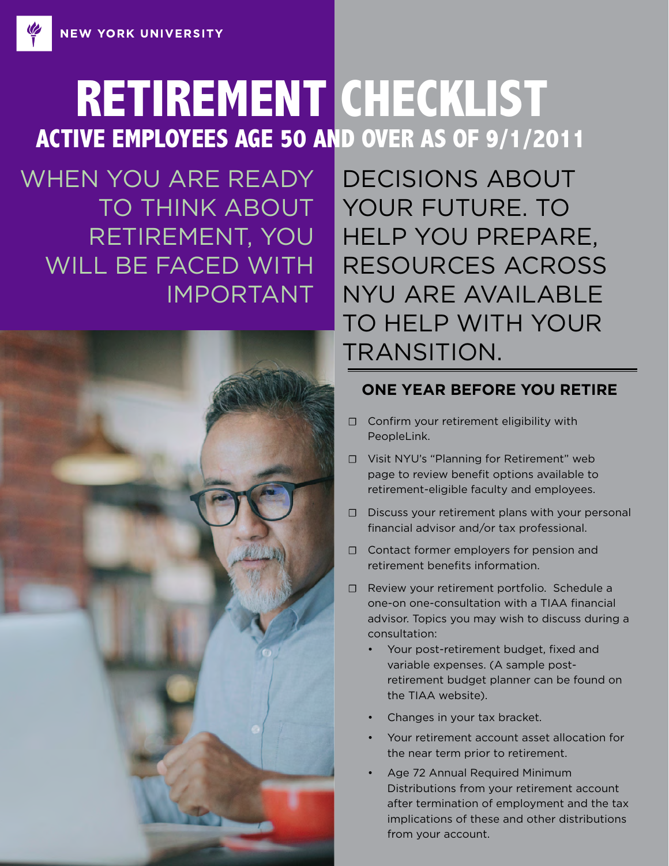# **RETIREMENT CHECKLIST ACTIVE EMPLOYEES AGE 50 AND OVER AS OF 9/1/2011**

WHEN YOU ARE READY TO THINK ABOUT RETIREMENT, YOU WILL BE FACED WITH IMPORTANT



DECISIONS ABOUT YOUR FUTURE. TO HELP YOU PREPARE, RESOURCES ACROSS NYU ARE AVAILABLE TO HELP WITH YOUR TRANSITION.

## **ONE YEAR BEFORE YOU RETIRE**

- ☐ Confirm your retirement eligibility with PeopleLink.
- ☐ Visit NYU's "Planning for Retirement" web page to review benefit options available to retirement-eligible faculty and employees.
- ☐ Discuss your retirement plans with your personal financial advisor and/or tax professional.
- ☐ Contact former employers for pension and retirement benefits information.
- ☐ Review your retirement portfolio. Schedule a one-on one-consultation with a TIAA financial advisor. Topics you may wish to discuss during a consultation:
	- Your post-retirement budget, fixed and variable expenses. (A sample postretirement budget planner can be found on the TIAA website).
	- Changes in your tax bracket.
	- Your retirement account asset allocation for the near term prior to retirement.
	- Age 72 Annual Required Minimum Distributions from your retirement account after termination of employment and the tax implications of these and other distributions from your account.